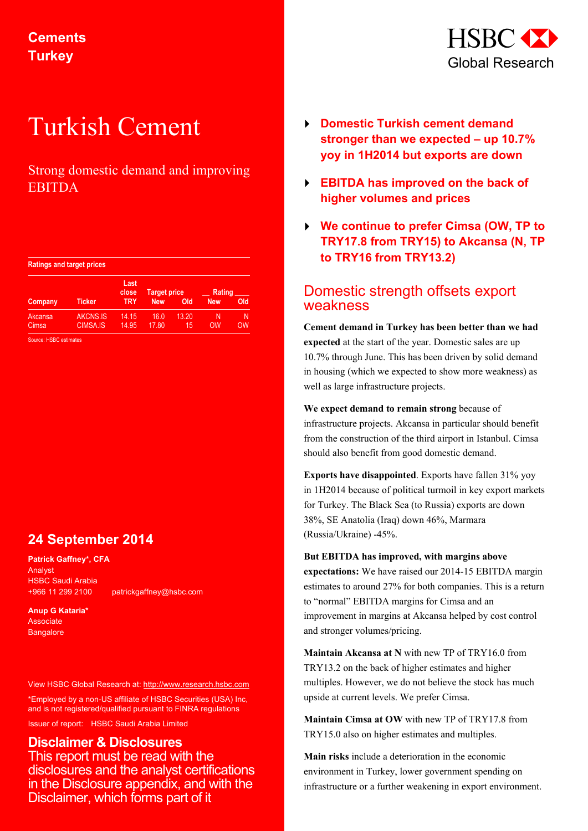

# Turkish Cement

# Strong domestic demand and improving EBITDA

| <b>Ratings and target prices</b> |  |  |
|----------------------------------|--|--|
|                                  |  |  |

|                  |                             | Last<br>close  | <b>Target price</b> |             | Rating     |         |
|------------------|-----------------------------|----------------|---------------------|-------------|------------|---------|
| Company          | <b>Ticker</b>               | <b>TRY</b>     | <b>New</b>          | Old         | <b>New</b> | Old     |
| Akcansa<br>Cimsa | AKCNS.IS<br><b>CIMSA.IS</b> | 14.15<br>14.95 | 16.0<br>17.80       | 13.20<br>15 | Ν<br>OW    | N<br>OW |

Source: HSBC estimates

# **24 September 2014**

**Patrick Gaffney\*, CFA** Analyst HSBC Saudi Arabia +966 11 299 2100 patrickgaffney@hsbc.com

**Anup G Kataria\* Associate Bangalore** 

View HSBC Global Research at: http://www.research.hsbc.com

\*Employed by a non-US affiliate of HSBC Securities (USA) Inc, and is not registered/qualified pursuant to FINRA regulations

Issuer of report: HSBC Saudi Arabia Limited

## **Disclaimer & Disclosures**  This report must be read with the disclosures and the analyst certifications in the Disclosure appendix, and with the Disclaimer, which forms part of it

- **Domestic Turkish cement demand stronger than we expected – up 10.7% yoy in 1H2014 but exports are down**
- **EBITDA has improved on the back of higher volumes and prices**
- **We continue to prefer Cimsa (OW, TP to TRY17.8 from TRY15) to Akcansa (N, TP to TRY16 from TRY13.2)**

# Domestic strength offsets export weakness

**Cement demand in Turkey has been better than we had expected** at the start of the year. Domestic sales are up 10.7% through June. This has been driven by solid demand in housing (which we expected to show more weakness) as well as large infrastructure projects.

**We expect demand to remain strong** because of infrastructure projects. Akcansa in particular should benefit from the construction of the third airport in Istanbul. Cimsa should also benefit from good domestic demand.

**Exports have disappointed**. Exports have fallen 31% yoy in 1H2014 because of political turmoil in key export markets for Turkey. The Black Sea (to Russia) exports are down 38%, SE Anatolia (Iraq) down 46%, Marmara (Russia/Ukraine) -45%.

**But EBITDA has improved, with margins above expectations:** We have raised our 2014-15 EBITDA margin estimates to around 27% for both companies. This is a return to "normal" EBITDA margins for Cimsa and an improvement in margins at Akcansa helped by cost control and stronger volumes/pricing.

**Maintain Akcansa at N** with new TP of TRY16.0 from TRY13.2 on the back of higher estimates and higher multiples. However, we do not believe the stock has much upside at current levels. We prefer Cimsa.

**Maintain Cimsa at OW** with new TP of TRY17.8 from TRY15.0 also on higher estimates and multiples.

**Main risks** include a deterioration in the economic environment in Turkey, lower government spending on infrastructure or a further weakening in export environment.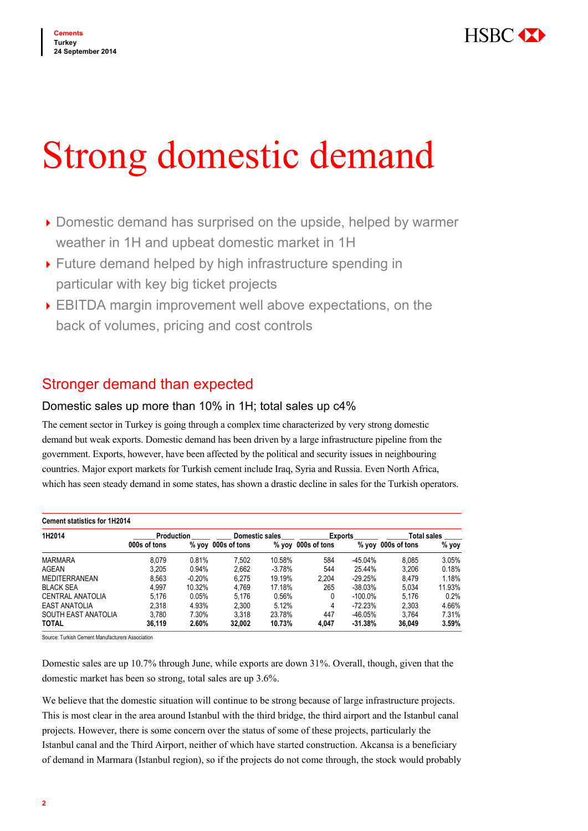

# Strong domestic demand

- ▶ Domestic demand has surprised on the upside, helped by warmer weather in 1H and upbeat domestic market in 1H
- Future demand helped by high infrastructure spending in particular with key big ticket projects
- EBITDA margin improvement well above expectations, on the back of volumes, pricing and cost controls

# Stronger demand than expected

## Domestic sales up more than 10% in 1H; total sales up c4%

The cement sector in Turkey is going through a complex time characterized by very strong domestic demand but weak exports. Domestic demand has been driven by a large infrastructure pipeline from the government. Exports, however, have been affected by the political and security issues in neighbouring countries. Major export markets for Turkish cement include Iraq, Syria and Russia. Even North Africa, which has seen steady demand in some states, has shown a drastic decline in sales for the Turkish operators.

| <b>Cement statistics for 1H2014</b> |                   |          |              |                       |                    |                |              |                    |  |  |
|-------------------------------------|-------------------|----------|--------------|-----------------------|--------------------|----------------|--------------|--------------------|--|--|
| 1H2014                              | <b>Production</b> |          |              | <b>Domestic sales</b> |                    | <b>Exports</b> |              | <b>Total sales</b> |  |  |
|                                     | 000s of tons      | % yoy    | 000s of tons |                       | % yoy 000s of tons | % νον          | 000s of tons | % yoy              |  |  |
| <b>MARMARA</b>                      | 8.079             | 0.81%    | 7.502        | 10.58%                | 584                | $-45.04%$      | 8.085        | 3.05%              |  |  |
| AGEAN                               | 3,205             | 0.94%    | 2,662        | $-3.78%$              | 544                | 25.44%         | 3.206        | 0.18%              |  |  |
| <b>MEDITERRANEAN</b>                | 8.563             | $-0.20%$ | 6.275        | 19.19%                | 2.204              | $-29.25%$      | 8.479        | 1.18%              |  |  |
| <b>BLACK SEA</b>                    | 4.997             | 10.32%   | 4.769        | 17.18%                | 265                | $-38.03%$      | 5.034        | 11.93%             |  |  |
| CENTRAL ANATOLIA                    | 5.176             | 0.05%    | 5.176        | 0.56%                 |                    | $-100.0\%$     | 5.176        | 0.2%               |  |  |
| <b>EAST ANATOLIA</b>                | 2.318             | 4.93%    | 2.300        | 5.12%                 | 4                  | $-72.23%$      | 2.303        | 4.66%              |  |  |
| SOUTH EAST ANATOLIA                 | 3.780             | 7.30%    | 3.318        | 23.78%                | 447                | $-46.05%$      | 3.764        | 7.31%              |  |  |
| <b>TOTAL</b>                        | 36.119            | 2.60%    | 32.002       | 10.73%                | 4.047              | $-31.38%$      | 36.049       | 3.59%              |  |  |

Source: Turkish Cement Manufacturers Association

Domestic sales are up 10.7% through June, while exports are down 31%. Overall, though, given that the domestic market has been so strong, total sales are up 3.6%.

We believe that the domestic situation will continue to be strong because of large infrastructure projects. This is most clear in the area around Istanbul with the third bridge, the third airport and the Istanbul canal projects. However, there is some concern over the status of some of these projects, particularly the Istanbul canal and the Third Airport, neither of which have started construction. Akcansa is a beneficiary of demand in Marmara (Istanbul region), so if the projects do not come through, the stock would probably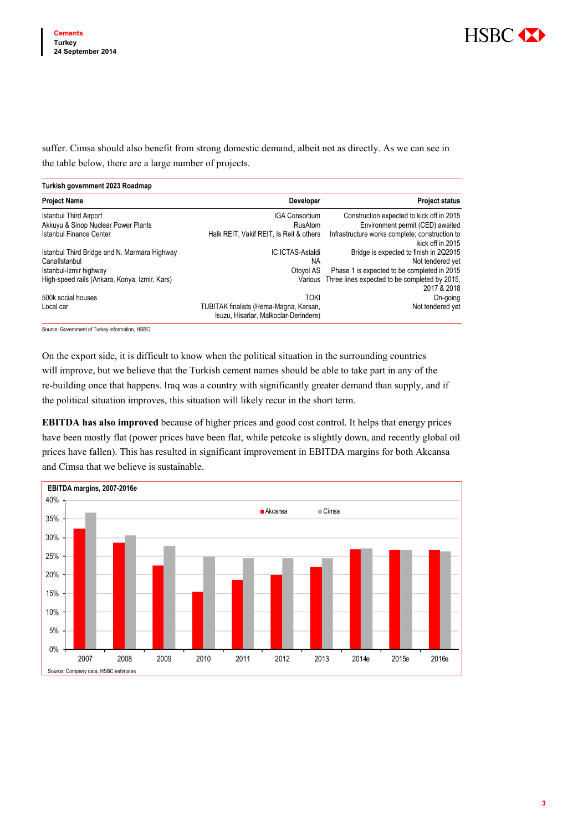

suffer. Cimsa should also benefit from strong domestic demand, albeit not as directly. As we can see in the table below, there are a large number of projects.

| Turkish government 2023 Roadmap               |                                                                                 |                                                                    |
|-----------------------------------------------|---------------------------------------------------------------------------------|--------------------------------------------------------------------|
| <b>Project Name</b>                           | Developer                                                                       | <b>Project status</b>                                              |
| <b>Istanbul Third Airport</b>                 | <b>IGA Consortium</b>                                                           | Construction expected to kick off in 2015                          |
| Akkuyu & Sinop Nuclear Power Plants           | RusAtom                                                                         | Environment permit (CED) awaited                                   |
| <b>Istanbul Finance Center</b>                | Halk REIT, Vakif REIT, Is Reit & others                                         | Infrastructure works complete; construction to<br>kick off in 2015 |
| Istanbul Third Bridge and N. Marmara Highway  | IC ICTAS-Astaldi                                                                | Bridge is expected to finish in 2Q2015                             |
| Canallstanbul                                 | NA.                                                                             | Not tendered yet                                                   |
| Istanbul-Izmir highway                        | Otovol AS                                                                       | Phase 1 is expected to be completed in 2015                        |
| High-speed rails (Ankara, Konya, Izmir, Kars) | Various                                                                         | Three lines expected to be completed by 2015,<br>2017 & 2018       |
| 500k social houses                            | <b>TOKI</b>                                                                     | On-going                                                           |
| Local car                                     | TUBITAK finalists (Hema-Magna, Karsan,<br>Isuzu, Hisarlar, Malkoclar-Derindere) | Not tendered yet                                                   |

Source: Government of Turkey information, HSBC

On the export side, it is difficult to know when the political situation in the surrounding countries will improve, but we believe that the Turkish cement names should be able to take part in any of the re-building once that happens. Iraq was a country with significantly greater demand than supply, and if the political situation improves, this situation will likely recur in the short term.

**EBITDA has also improved** because of higher prices and good cost control. It helps that energy prices have been mostly flat (power prices have been flat, while petcoke is slightly down, and recently global oil prices have fallen). This has resulted in significant improvement in EBITDA margins for both Akcansa and Cimsa that we believe is sustainable.

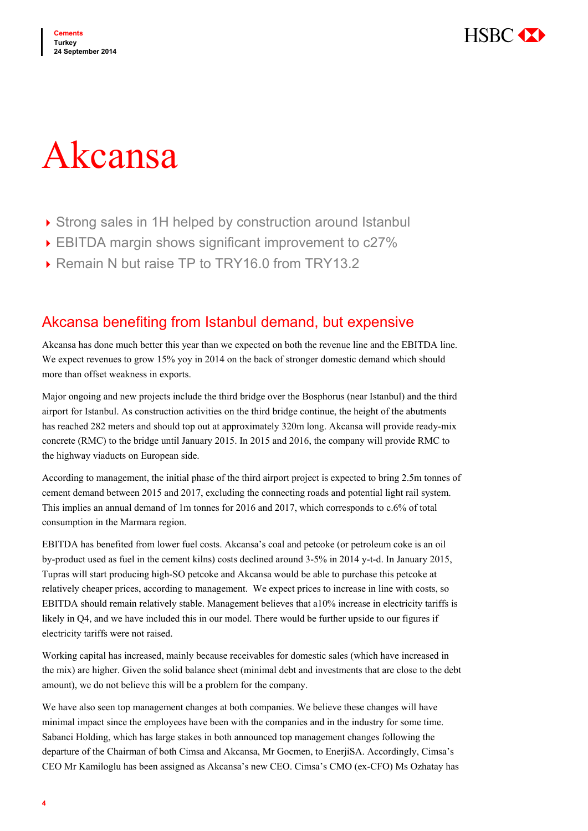

# Akcansa

- ▶ Strong sales in 1H helped by construction around Istanbul
- ▶ EBITDA margin shows significant improvement to c27%
- ▶ Remain N but raise TP to TRY16.0 from TRY13.2

# Akcansa benefiting from Istanbul demand, but expensive

Akcansa has done much better this year than we expected on both the revenue line and the EBITDA line. We expect revenues to grow 15% yoy in 2014 on the back of stronger domestic demand which should more than offset weakness in exports.

Major ongoing and new projects include the third bridge over the Bosphorus (near Istanbul) and the third airport for Istanbul. As construction activities on the third bridge continue, the height of the abutments has reached 282 meters and should top out at approximately 320m long. Akcansa will provide ready-mix concrete (RMC) to the bridge until January 2015. In 2015 and 2016, the company will provide RMC to the highway viaducts on European side.

According to management, the initial phase of the third airport project is expected to bring 2.5m tonnes of cement demand between 2015 and 2017, excluding the connecting roads and potential light rail system. This implies an annual demand of 1m tonnes for 2016 and 2017, which corresponds to c.6% of total consumption in the Marmara region.

EBITDA has benefited from lower fuel costs. Akcansa's coal and petcoke (or petroleum coke is an oil by-product used as fuel in the cement kilns) costs declined around 3-5% in 2014 y-t-d. In January 2015, Tupras will start producing high-SO petcoke and Akcansa would be able to purchase this petcoke at relatively cheaper prices, according to management. We expect prices to increase in line with costs, so EBITDA should remain relatively stable. Management believes that a10% increase in electricity tariffs is likely in Q4, and we have included this in our model. There would be further upside to our figures if electricity tariffs were not raised.

Working capital has increased, mainly because receivables for domestic sales (which have increased in the mix) are higher. Given the solid balance sheet (minimal debt and investments that are close to the debt amount), we do not believe this will be a problem for the company.

We have also seen top management changes at both companies. We believe these changes will have minimal impact since the employees have been with the companies and in the industry for some time. Sabanci Holding, which has large stakes in both announced top management changes following the departure of the Chairman of both Cimsa and Akcansa, Mr Gocmen, to EnerjiSA. Accordingly, Cimsa's CEO Mr Kamiloglu has been assigned as Akcansa's new CEO. Cimsa's CMO (ex-CFO) Ms Ozhatay has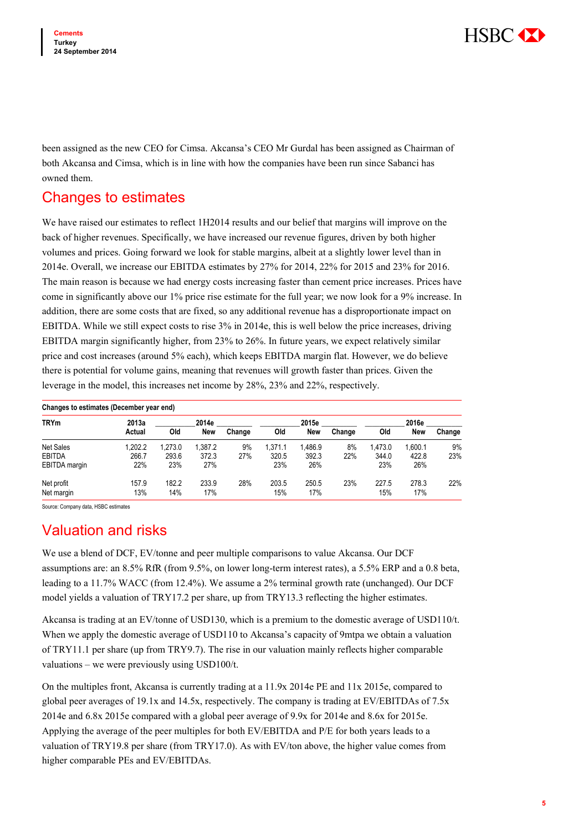

been assigned as the new CEO for Cimsa. Akcansa's CEO Mr Gurdal has been assigned as Chairman of both Akcansa and Cimsa, which is in line with how the companies have been run since Sabanci has owned them.

# Changes to estimates

We have raised our estimates to reflect 1H2014 results and our belief that margins will improve on the back of higher revenues. Specifically, we have increased our revenue figures, driven by both higher volumes and prices. Going forward we look for stable margins, albeit at a slightly lower level than in 2014e. Overall, we increase our EBITDA estimates by 27% for 2014, 22% for 2015 and 23% for 2016. The main reason is because we had energy costs increasing faster than cement price increases. Prices have come in significantly above our 1% price rise estimate for the full year; we now look for a 9% increase. In addition, there are some costs that are fixed, so any additional revenue has a disproportionate impact on EBITDA. While we still expect costs to rise 3% in 2014e, this is well below the price increases, driving EBITDA margin significantly higher, from 23% to 26%. In future years, we expect relatively similar price and cost increases (around 5% each), which keeps EBITDA margin flat. However, we do believe there is potential for volume gains, meaning that revenues will growth faster than prices. Given the leverage in the model, this increases net income by 28%, 23% and 22%, respectively.

|               | Changes to estimates (December year end) |         |         |        |         |            |        |         |            |        |  |  |
|---------------|------------------------------------------|---------|---------|--------|---------|------------|--------|---------|------------|--------|--|--|
| <b>TRYm</b>   | 2013a                                    |         | 2014e   |        |         | 2015e      |        |         | 2016e      |        |  |  |
|               | Actual                                   | Old     | New     | Change | Old     | <b>New</b> | Change | Old     | <b>New</b> | Change |  |  |
| Net Sales     | 1.202.2                                  | 1.273.0 | 1.387.2 | 9%     | 1.371.1 | 1.486.9    | 8%     | 1.473.0 | 1.600.1    | 9%     |  |  |
| <b>EBITDA</b> | 266.7                                    | 293.6   | 372.3   | 27%    | 320.5   | 392.3      | 22%    | 344.0   | 422.8      | 23%    |  |  |
| EBITDA margin | 22%                                      | 23%     | 27%     |        | 23%     | 26%        |        | 23%     | 26%        |        |  |  |
| Net profit    | 157.9                                    | 182.2   | 233.9   | 28%    | 203.5   | 250.5      | 23%    | 227.5   | 278.3      | 22%    |  |  |
| Net margin    | 13%                                      | 14%     | 17%     |        | 15%     | 17%        |        | 15%     | 17%        |        |  |  |

Source: Company data, HSBC estimates

# Valuation and risks

We use a blend of DCF, EV/tonne and peer multiple comparisons to value Akcansa. Our DCF assumptions are: an 8.5% RfR (from 9.5%, on lower long-term interest rates), a 5.5% ERP and a 0.8 beta, leading to a 11.7% WACC (from 12.4%). We assume a 2% terminal growth rate (unchanged). Our DCF model yields a valuation of TRY17.2 per share, up from TRY13.3 reflecting the higher estimates.

Akcansa is trading at an EV/tonne of USD130, which is a premium to the domestic average of USD110/t. When we apply the domestic average of USD110 to Akcansa's capacity of 9mtpa we obtain a valuation of TRY11.1 per share (up from TRY9.7). The rise in our valuation mainly reflects higher comparable valuations – we were previously using USD100/t.

On the multiples front, Akcansa is currently trading at a 11.9x 2014e PE and 11x 2015e, compared to global peer averages of 19.1x and 14.5x, respectively. The company is trading at EV/EBITDAs of 7.5x 2014e and 6.8x 2015e compared with a global peer average of 9.9x for 2014e and 8.6x for 2015e. Applying the average of the peer multiples for both EV/EBITDA and P/E for both years leads to a valuation of TRY19.8 per share (from TRY17.0). As with EV/ton above, the higher value comes from higher comparable PEs and EV/EBITDAs.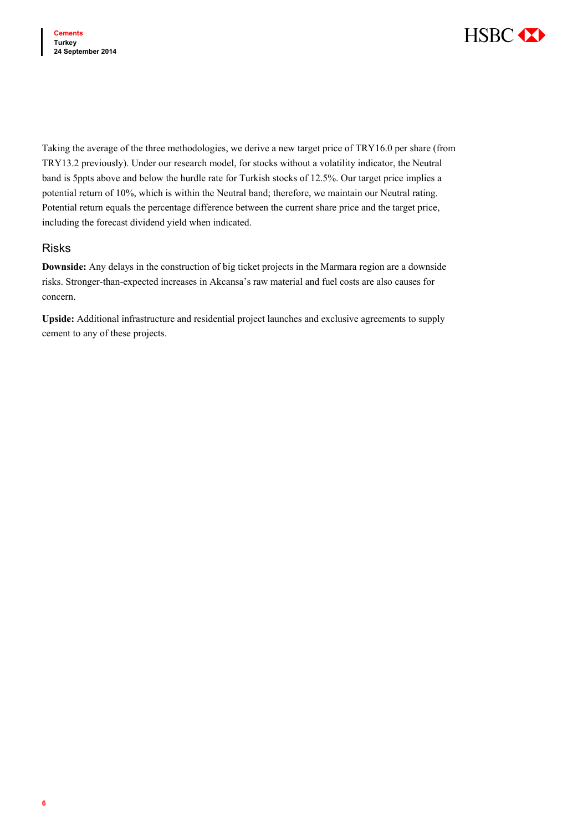

Taking the average of the three methodologies, we derive a new target price of TRY16.0 per share (from TRY13.2 previously). Under our research model, for stocks without a volatility indicator, the Neutral band is 5ppts above and below the hurdle rate for Turkish stocks of 12.5%. Our target price implies a potential return of 10%, which is within the Neutral band; therefore, we maintain our Neutral rating. Potential return equals the percentage difference between the current share price and the target price, including the forecast dividend yield when indicated.

### Risks

**Downside:** Any delays in the construction of big ticket projects in the Marmara region are a downside risks. Stronger-than-expected increases in Akcansa's raw material and fuel costs are also causes for concern.

**Upside:** Additional infrastructure and residential project launches and exclusive agreements to supply cement to any of these projects.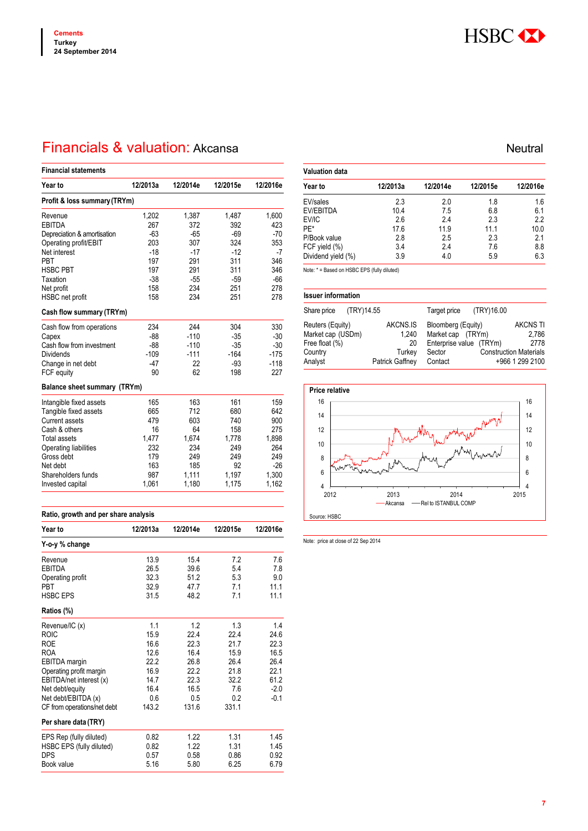

# Financials & valuation: Akcansa Neutral Neutral Neutral Neutral

| <b>Financial statements</b>  |          |          |          |          |  |  |  |  |  |
|------------------------------|----------|----------|----------|----------|--|--|--|--|--|
| Year to                      | 12/2013a | 12/2014e | 12/2015e | 12/2016e |  |  |  |  |  |
| Profit & loss summary (TRYm) |          |          |          |          |  |  |  |  |  |
| Revenue                      | 1,202    | 1,387    | 1,487    | 1,600    |  |  |  |  |  |
| <b>EBITDA</b>                | 267      | 372      | 392      | 423      |  |  |  |  |  |
| Depreciation & amortisation  | $-63$    | $-65$    | $-69$    | $-70$    |  |  |  |  |  |
| Operating profit/EBIT        | 203      | 307      | 324      | 353      |  |  |  |  |  |
| Net interest                 | $-18$    | $-17$    | $-12$    | $-7$     |  |  |  |  |  |
| <b>PRT</b>                   | 197      | 291      | 311      | 346      |  |  |  |  |  |
| <b>HSBC PBT</b>              | 197      | 291      | 311      | 346      |  |  |  |  |  |
| Taxation                     | $-38$    | -55      | $-59$    | $-66$    |  |  |  |  |  |
| Net profit                   | 158      | 234      | 251      | 278      |  |  |  |  |  |
| HSBC net profit              | 158      | 234      | 251      | 278      |  |  |  |  |  |
| Cash flow summary (TRYm)     |          |          |          |          |  |  |  |  |  |
| Cash flow from operations    | 234      | 244      | 304      | 330      |  |  |  |  |  |
| Capex                        | $-88$    | $-110$   | $-35$    | $-30$    |  |  |  |  |  |
| Cash flow from investment    | $-88$    | $-110$   | $-35$    | $-30$    |  |  |  |  |  |
| <b>Dividends</b>             | $-109$   | $-111$   | $-164$   | $-175$   |  |  |  |  |  |
| Change in net debt           | -47      | 22       | $-93$    | $-118$   |  |  |  |  |  |
| FCF equity                   | 90       | 62       | 198      | 227      |  |  |  |  |  |
| Balance sheet summary (TRYm) |          |          |          |          |  |  |  |  |  |
| Intangible fixed assets      | 165      | 163      | 161      | 159      |  |  |  |  |  |
| Tangible fixed assets        | 665      | 712      | 680      | 642      |  |  |  |  |  |
| <b>Current assets</b>        | 479      | 603      | 740      | 900      |  |  |  |  |  |
| Cash & others                | 16       | 64       | 158      | 275      |  |  |  |  |  |
| <b>Total assets</b>          | 1.477    | 1.674    | 1.778    | 1,898    |  |  |  |  |  |
| Operating liabilities        | 232      | 234      | 249      | 264      |  |  |  |  |  |
| Gross debt                   | 179      | 249      | 249      | 249      |  |  |  |  |  |
| Net debt                     | 163      | 185      | 92       | $-26$    |  |  |  |  |  |
| Shareholders funds           | 987      | 1,111    | 1,197    | 1,300    |  |  |  |  |  |
| Invested capital             | 1,061    | 1,180    | 1,175    | 1,162    |  |  |  |  |  |

| Ratio, growth and per share analysis |          |          |          |          |  |  |  |
|--------------------------------------|----------|----------|----------|----------|--|--|--|
| Year to                              | 12/2013a | 12/2014e | 12/2015e | 12/2016e |  |  |  |
| Y-o-y % change                       |          |          |          |          |  |  |  |
| Revenue                              | 13.9     | 15.4     | 7.2      | 7.6      |  |  |  |
| EBITDA                               | 26.5     | 39.6     | 5.4      | 7.8      |  |  |  |
| Operating profit                     | 32.3     | 51.2     | 5.3      | 9.0      |  |  |  |
| PBT                                  | 32.9     | 47.7     | 7.1      | 11.1     |  |  |  |
| <b>HSBC EPS</b>                      | 31.5     | 48.2     | 7.1      | 11.1     |  |  |  |
| Ratios (%)                           |          |          |          |          |  |  |  |
| Revenue/IC (x)                       | 11       | 12       | 1.3      | 14       |  |  |  |
| <b>ROIC</b>                          | 15.9     | 22.4     | 22.4     | 24.6     |  |  |  |
| <b>ROE</b>                           | 16.6     | 22.3     | 21.7     | 22.3     |  |  |  |
| <b>ROA</b>                           | 12.6     | 16.4     | 15.9     | 16.5     |  |  |  |
| EBITDA margin                        | 222      | 26.8     | 26.4     | 26.4     |  |  |  |
| Operating profit margin              | 16.9     | 22.2     | 21.8     | 22.1     |  |  |  |
| EBITDA/net interest (x)              | 14.7     | 22.3     | 32.2     | 61.2     |  |  |  |
| Net debt/equity                      | 16.4     | 16.5     | 7.6      | $-2.0$   |  |  |  |
| Net debt/EBITDA (x)                  | 0.6      | 0.5      | 02       | $-0.1$   |  |  |  |
| CF from operations/net debt          | 143.2    | 131.6    | 331.1    |          |  |  |  |
| Per share data (TRY)                 |          |          |          |          |  |  |  |
| EPS Rep (fully diluted)              | 0.82     | 1.22     | 1.31     | 1.45     |  |  |  |
| HSBC EPS (fully diluted)             | 0.82     | 1.22     | 1.31     | 1.45     |  |  |  |
| <b>DPS</b>                           | 0.57     | 0.58     | 0.86     | 0.92     |  |  |  |
| Book value                           | 5.16     | 5.80     | 6.25     | 6.79     |  |  |  |

| <b>Valuation data</b> |          |          |          |          |
|-----------------------|----------|----------|----------|----------|
| Year to               | 12/2013a | 12/2014e | 12/2015e | 12/2016e |
| EV/sales              | 2.3      | 2.0      | 1.8      | 1.6      |
| EV/EBITDA             | 10.4     | 7.5      | 6.8      | 6.1      |
| EV/IC                 | 2.6      | 2.4      | 2.3      | 2.2      |
| PE*                   | 17.6     | 11.9     | 11.1     | 10.0     |
| P/Book value          | 2.8      | 2.5      | 2.3      | 2.1      |
| FCF yield (%)         | 3.4      | 2.4      | 7.6      | 8.8      |
| Dividend yield (%)    | 3.9      | 4.0      | 5.9      | 6.3      |

Note: \* = Based on HSBC EPS (fully diluted)

| <b>Issuer information</b> |                 |                    |            |                               |
|---------------------------|-----------------|--------------------|------------|-------------------------------|
| (TRY)14.55<br>Share price |                 | Target price       | (TRY)16.00 |                               |
| Reuters (Equity)          | AKCNS.IS        | Bloomberg (Equity) |            | <b>AKCNS TI</b>               |
| Market cap (USDm)         | 1.240           | Market cap         | (TRYm)     | 2.786                         |
| Free float (%)            | 20              | Enterprise value   | (TRYm)     | 2778                          |
| Country                   | Turkey          | Sector             |            | <b>Construction Materials</b> |
| Analyst                   | Patrick Gaffney | Contact            |            | +966 1 299 2100               |



Note: price at close of 22 Sep 2014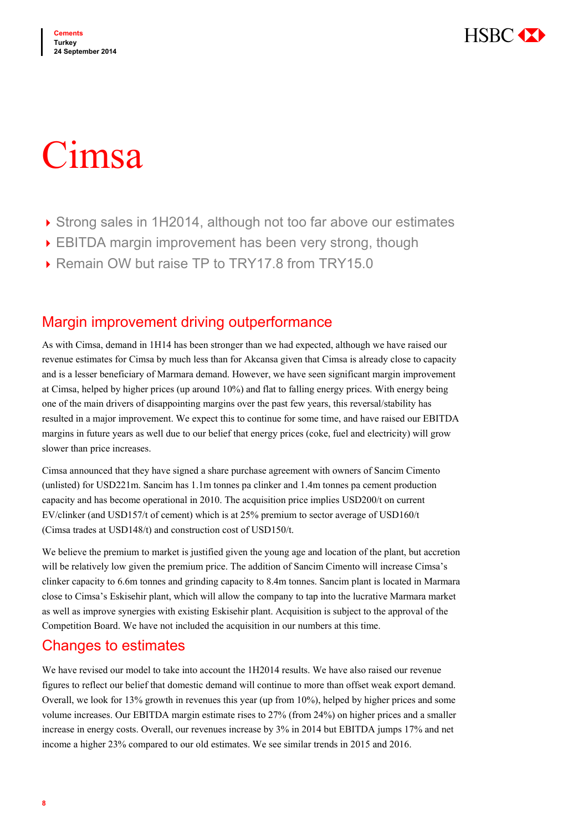

# Cimsa

- ▶ Strong sales in 1H2014, although not too far above our estimates
- EBITDA margin improvement has been very strong, though
- ▶ Remain OW but raise TP to TRY17.8 from TRY15.0

# Margin improvement driving outperformance

As with Cimsa, demand in 1H14 has been stronger than we had expected, although we have raised our revenue estimates for Cimsa by much less than for Akcansa given that Cimsa is already close to capacity and is a lesser beneficiary of Marmara demand. However, we have seen significant margin improvement at Cimsa, helped by higher prices (up around 10%) and flat to falling energy prices. With energy being one of the main drivers of disappointing margins over the past few years, this reversal/stability has resulted in a major improvement. We expect this to continue for some time, and have raised our EBITDA margins in future years as well due to our belief that energy prices (coke, fuel and electricity) will grow slower than price increases.

Cimsa announced that they have signed a share purchase agreement with owners of Sancim Cimento (unlisted) for USD221m. Sancim has 1.1m tonnes pa clinker and 1.4m tonnes pa cement production capacity and has become operational in 2010. The acquisition price implies USD200/t on current EV/clinker (and USD157/t of cement) which is at 25% premium to sector average of USD160/t (Cimsa trades at USD148/t) and construction cost of USD150/t.

We believe the premium to market is justified given the young age and location of the plant, but accretion will be relatively low given the premium price. The addition of Sancim Cimento will increase Cimsa's clinker capacity to 6.6m tonnes and grinding capacity to 8.4m tonnes. Sancim plant is located in Marmara close to Cimsa's Eskisehir plant, which will allow the company to tap into the lucrative Marmara market as well as improve synergies with existing Eskisehir plant. Acquisition is subject to the approval of the Competition Board. We have not included the acquisition in our numbers at this time.

# Changes to estimates

We have revised our model to take into account the 1H2014 results. We have also raised our revenue figures to reflect our belief that domestic demand will continue to more than offset weak export demand. Overall, we look for 13% growth in revenues this year (up from 10%), helped by higher prices and some volume increases. Our EBITDA margin estimate rises to 27% (from 24%) on higher prices and a smaller increase in energy costs. Overall, our revenues increase by 3% in 2014 but EBITDA jumps 17% and net income a higher 23% compared to our old estimates. We see similar trends in 2015 and 2016.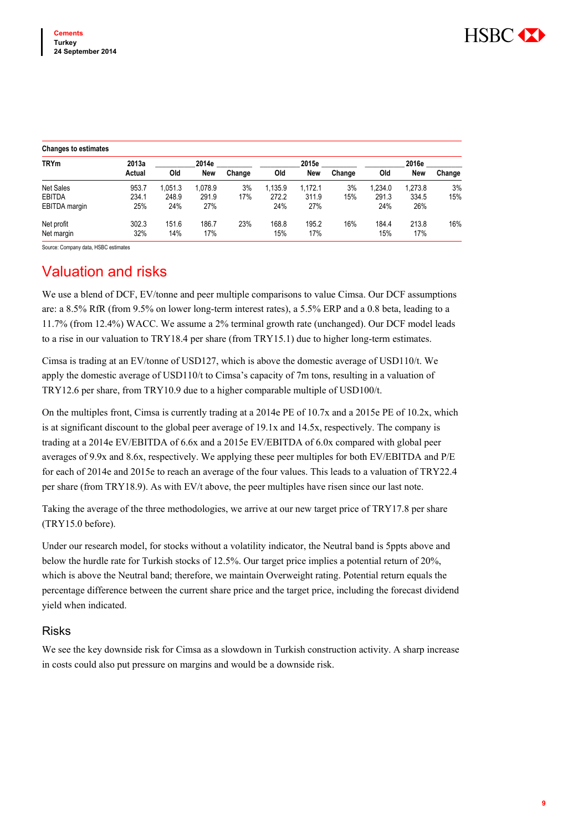| <b>Changes to estimates</b> |        |        |         |        |         |            |        |         |            |        |
|-----------------------------|--------|--------|---------|--------|---------|------------|--------|---------|------------|--------|
| <b>TRYm</b>                 | 2013a  |        | 2014e   |        |         | 2015e      |        |         | 2016e      |        |
|                             | Actual | Old    | New     | Change | Old     | <b>New</b> | Change | Old     | <b>New</b> | Change |
| <b>Net Sales</b>            | 953.7  | .051.3 | 1.078.9 | 3%     | 1.135.9 | 1.172.1    | 3%     | 1.234.0 | 1.273.8    | 3%     |
| <b>EBITDA</b>               | 234.1  | 248.9  | 291.9   | 17%    | 272.2   | 311.9      | 15%    | 291.3   | 334.5      | 15%    |
| EBITDA margin               | 25%    | 24%    | 27%     |        | 24%     | 27%        |        | 24%     | 26%        |        |
| Net profit                  | 302.3  | 151.6  | 186.7   | 23%    | 168.8   | 195.2      | 16%    | 184.4   | 213.8      | 16%    |
| Net margin                  | 32%    | 14%    | 17%     |        | 15%     | 17%        |        | 15%     | 17%        |        |

Source: Company data, HSBC estimates

# Valuation and risks

We use a blend of DCF, EV/tonne and peer multiple comparisons to value Cimsa. Our DCF assumptions are: a 8.5% RfR (from 9.5% on lower long-term interest rates), a 5.5% ERP and a 0.8 beta, leading to a 11.7% (from 12.4%) WACC. We assume a 2% terminal growth rate (unchanged). Our DCF model leads to a rise in our valuation to TRY18.4 per share (from TRY15.1) due to higher long-term estimates.

Cimsa is trading at an EV/tonne of USD127, which is above the domestic average of USD110/t. We apply the domestic average of USD110/t to Cimsa's capacity of 7m tons, resulting in a valuation of TRY12.6 per share, from TRY10.9 due to a higher comparable multiple of USD100/t.

On the multiples front, Cimsa is currently trading at a 2014e PE of 10.7x and a 2015e PE of 10.2x, which is at significant discount to the global peer average of 19.1x and 14.5x, respectively. The company is trading at a 2014e EV/EBITDA of 6.6x and a 2015e EV/EBITDA of 6.0x compared with global peer averages of 9.9x and 8.6x, respectively. We applying these peer multiples for both EV/EBITDA and P/E for each of 2014e and 2015e to reach an average of the four values. This leads to a valuation of TRY22.4 per share (from TRY18.9). As with EV/t above, the peer multiples have risen since our last note.

Taking the average of the three methodologies, we arrive at our new target price of TRY17.8 per share (TRY15.0 before).

Under our research model, for stocks without a volatility indicator, the Neutral band is 5ppts above and below the hurdle rate for Turkish stocks of 12.5%. Our target price implies a potential return of 20%, which is above the Neutral band; therefore, we maintain Overweight rating. Potential return equals the percentage difference between the current share price and the target price, including the forecast dividend yield when indicated.

## Risks

We see the key downside risk for Cimsa as a slowdown in Turkish construction activity. A sharp increase in costs could also put pressure on margins and would be a downside risk.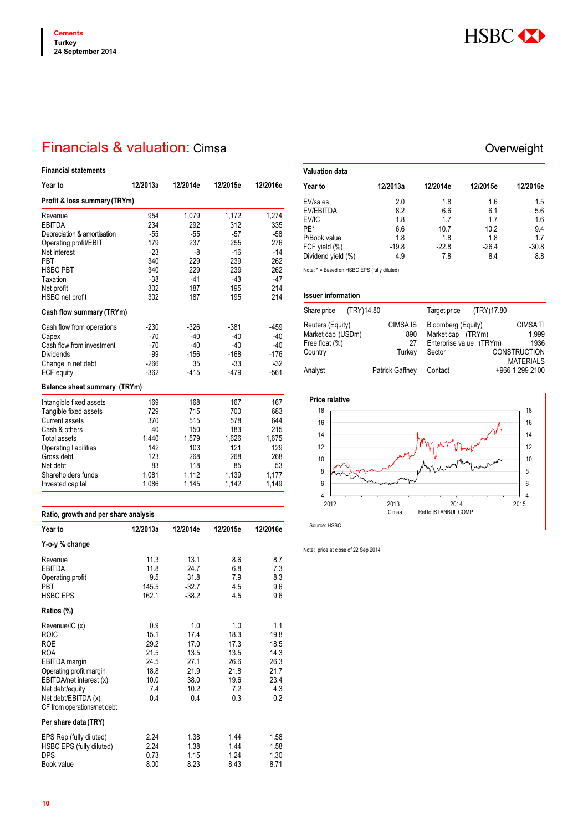

# Financials & valuation: Cimsa Channel Controller Controller Controller Controller Controller Controller Controller

| <b>Financial statements</b>  |          |          |          |          |  |  |  |  |  |
|------------------------------|----------|----------|----------|----------|--|--|--|--|--|
| Year to                      | 12/2013a | 12/2014e | 12/2015e | 12/2016e |  |  |  |  |  |
| Profit & loss summary (TRYm) |          |          |          |          |  |  |  |  |  |
| Revenue                      | 954      | 1,079    | 1,172    | 1,274    |  |  |  |  |  |
| <b>EBITDA</b>                | 234      | 292      | 312      | 335      |  |  |  |  |  |
| Depreciation & amortisation  | $-55$    | $-55$    | $-57$    | $-58$    |  |  |  |  |  |
| Operating profit/EBIT        | 179      | 237      | 255      | 276      |  |  |  |  |  |
| Net interest                 | $-23$    | -8       | $-16$    | $-14$    |  |  |  |  |  |
| <b>PBT</b>                   | 340      | 229      | 239      | 262      |  |  |  |  |  |
| <b>HSBC PBT</b>              | 340      | 229      | 239      | 262      |  |  |  |  |  |
| Taxation                     | $-38$    | $-41$    | $-43$    | $-47$    |  |  |  |  |  |
| Net profit                   | 302      | 187      | 195      | 214      |  |  |  |  |  |
| HSBC net profit              | 302      | 187      | 195      | 214      |  |  |  |  |  |
| Cash flow summary (TRYm)     |          |          |          |          |  |  |  |  |  |
| Cash flow from operations    | $-230$   | $-326$   | $-381$   | $-459$   |  |  |  |  |  |
| Capex                        | -70      | $-40$    | $-40$    | $-40$    |  |  |  |  |  |
| Cash flow from investment    | $-70$    | $-40$    | $-40$    | $-40$    |  |  |  |  |  |
| <b>Dividends</b>             | $-99$    | $-156$   | $-168$   | $-176$   |  |  |  |  |  |
| Change in net debt           | $-266$   | 35       | $-33$    | $-32$    |  |  |  |  |  |
| FCF equity                   | $-362$   | $-415$   | $-479$   | $-561$   |  |  |  |  |  |
| Balance sheet summary (TRYm) |          |          |          |          |  |  |  |  |  |
| Intangible fixed assets      | 169      | 168      | 167      | 167      |  |  |  |  |  |
| Tangible fixed assets        | 729      | 715      | 700      | 683      |  |  |  |  |  |
| <b>Current assets</b>        | 370      | 515      | 578      | 644      |  |  |  |  |  |
| Cash & others                | 40       | 150      | 183      | 215      |  |  |  |  |  |
| <b>Total assets</b>          | 1,440    | 1,579    | 1,626    | 1,675    |  |  |  |  |  |
| Operating liabilities        | 142      | 103      | 121      | 129      |  |  |  |  |  |
| Gross debt                   | 123      | 268      | 268      | 268      |  |  |  |  |  |
| Net debt                     | 83       | 118      | 85       | 53       |  |  |  |  |  |
| Shareholders funds           | 1,081    | 1,112    | 1,139    | 1,177    |  |  |  |  |  |
| Invested capital             | 1,086    | 1,145    | 1,142    | 1,149    |  |  |  |  |  |

| Ratio, growth and per share analysis |          |          |                |          |  |  |  |
|--------------------------------------|----------|----------|----------------|----------|--|--|--|
| Year to                              | 12/2013a | 12/2014e | 12/2015e       | 12/2016e |  |  |  |
| Y-o-y % change                       |          |          |                |          |  |  |  |
| Revenue                              | 11.3     | 13.1     | 8.6            | 8.7      |  |  |  |
| <b>FRITDA</b>                        | 11.8     | 247      | 6.8            | 7.3      |  |  |  |
| Operating profit                     | 9.5      | 31.8     | 7.9            | 8.3      |  |  |  |
| <b>PBT</b>                           | 145.5    | $-32.7$  | 4.5            | 9.6      |  |  |  |
| <b>HSBC FPS</b>                      | 162.1    | $-38.2$  | 4.5            | 9.6      |  |  |  |
| Ratios (%)                           |          |          |                |          |  |  |  |
| Revenue/IC (x)                       | 0.9      | 1.0      | 1 <sub>0</sub> | 1.1      |  |  |  |
| <b>ROIC</b>                          | 15.1     | 174      | 18.3           | 19.8     |  |  |  |
| <b>ROE</b>                           | 29.2     | 17.0     | 17.3           | 18.5     |  |  |  |
| <b>ROA</b>                           | 21.5     | 13.5     | 13.5           | 14.3     |  |  |  |
| EBITDA margin                        | 24.5     | 27.1     | 26.6           | 26.3     |  |  |  |
| Operating profit margin              | 18.8     | 21.9     | 21.8           | 21.7     |  |  |  |
| EBITDA/net interest (x)              | 10.0     | 38.0     | 19.6           | 23.4     |  |  |  |
| Net debt/equity                      | 7.4      | 10.2     | 7.2            | 4.3      |  |  |  |
| Net debt/EBITDA (x)                  | 04       | 04       | 0.3            | 0.2      |  |  |  |
| CF from operations/net debt          |          |          |                |          |  |  |  |
| Per share data (TRY)                 |          |          |                |          |  |  |  |
| EPS Rep (fully diluted)              | 2.24     | 1.38     | 1.44           | 1.58     |  |  |  |
| HSBC EPS (fully diluted)             | 2.24     | 1.38     | 1.44           | 1.58     |  |  |  |
| <b>DPS</b>                           | 0.73     | 1.15     | 1.24           | 1.30     |  |  |  |
| Book value                           | 8.00     | 8.23     | 8.43           | 8.71     |  |  |  |
|                                      |          |          |                |          |  |  |  |

| Valuation data     |          |          |          |          |
|--------------------|----------|----------|----------|----------|
| Year to            | 12/2013a | 12/2014e | 12/2015e | 12/2016e |
| EV/sales           | 2.0      | 1.8      | 1.6      | 1.5      |
| EV/EBITDA          | 8.2      | 6.6      | 6.1      | 5.6      |
| EV/IC              | 1.8      | 17       | 17       | 16       |
| PF*                | 6.6      | 10.7     | 10.2     | 9.4      |
| P/Book value       | 1.8      | 1.8      | 18       | 17       |
| FCF yield (%)      | $-19.8$  | $-22.8$  | $-26.4$  | $-30.8$  |
| Dividend yield (%) | 4.9      | 7.8      | 8.4      | 8.8      |

Note: \* = Based on HSBC EPS (fully diluted)

| <b>Issuer information</b> |            |                 |                         |            |                     |
|---------------------------|------------|-----------------|-------------------------|------------|---------------------|
| Share price               | (TRY)14.80 |                 | Target price            | (TRY)17.80 |                     |
| Reuters (Equity)          |            | CIMSA.IS        | Bloomberg (Equity)      |            | <b>CIMSA TI</b>     |
| Market cap (USDm)         |            | 890             | Market cap (TRYm)       |            | 1.999               |
| Free float (%)            |            | 27              | Enterprise value (TRYm) |            | 1936                |
| Country                   |            | Turkey          | Sector                  |            | <b>CONSTRUCTION</b> |
|                           |            |                 |                         |            | <b>MATERIALS</b>    |
| Analyst                   |            | Patrick Gaffney | Contact                 |            | +966 1 299 2100     |



Note: price at close of 22 Sep 2014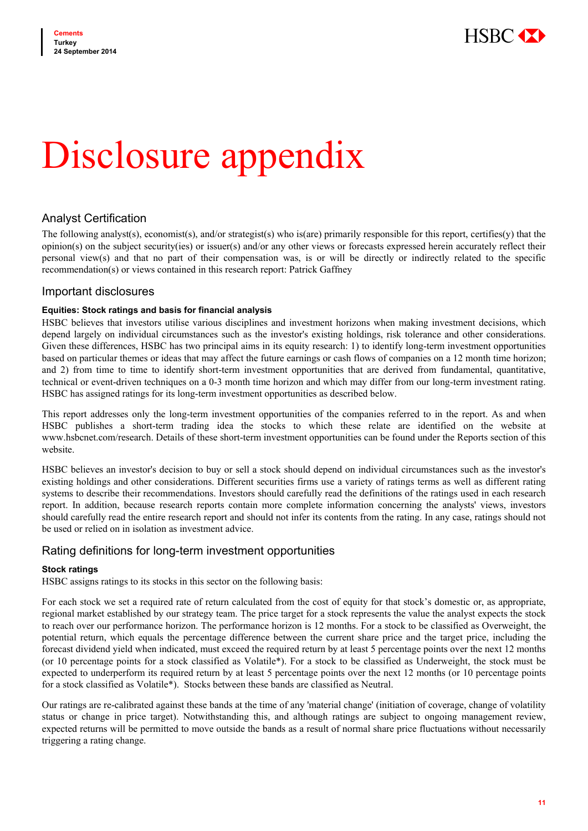

# Disclosure appendix

## Analyst Certification

The following analyst(s), economist(s), and/or strategist(s) who is(are) primarily responsible for this report, certifies(y) that the  $\phi$  opinion(s) on the subject security(ies) or issuer(s) and/or any other views or forecasts expressed herein accurately reflect their personal view(s) and that no part of their compensation was, is or will be directly or indirectly related to the specific recommendation(s) or views contained in this research report: Patrick Gaffney

### Important disclosures

### **Equities: Stock ratings and basis for financial analysis**

HSBC believes that investors utilise various disciplines and investment horizons when making investment decisions, which depend largely on individual circumstances such as the investor's existing holdings, risk tolerance and other considerations. Given these differences, HSBC has two principal aims in its equity research: 1) to identify long-term investment opportunities based on particular themes or ideas that may affect the future earnings or cash flows of companies on a 12 month time horizon; and 2) from time to time to identify short-term investment opportunities that are derived from fundamental, quantitative, technical or event-driven techniques on a 0-3 month time horizon and which may differ from our long-term investment rating. HSBC has assigned ratings for its long-term investment opportunities as described below.

This report addresses only the long-term investment opportunities of the companies referred to in the report. As and when HSBC publishes a short-term trading idea the stocks to which these relate are identified on the website at www.hsbcnet.com/research. Details of these short-term investment opportunities can be found under the Reports section of this website.

HSBC believes an investor's decision to buy or sell a stock should depend on individual circumstances such as the investor's existing holdings and other considerations. Different securities firms use a variety of ratings terms as well as different rating systems to describe their recommendations. Investors should carefully read the definitions of the ratings used in each research report. In addition, because research reports contain more complete information concerning the analysts' views, investors should carefully read the entire research report and should not infer its contents from the rating. In any case, ratings should not be used or relied on in isolation as investment advice.

### Rating definitions for long-term investment opportunities

### **Stock ratings**

HSBC assigns ratings to its stocks in this sector on the following basis:

For each stock we set a required rate of return calculated from the cost of equity for that stock's domestic or, as appropriate, regional market established by our strategy team. The price target for a stock represents the value the analyst expects the stock to reach over our performance horizon. The performance horizon is 12 months. For a stock to be classified as Overweight, the potential return, which equals the percentage difference between the current share price and the target price, including the forecast dividend yield when indicated, must exceed the required return by at least 5 percentage points over the next 12 months (or 10 percentage points for a stock classified as Volatile\*). For a stock to be classified as Underweight, the stock must be expected to underperform its required return by at least 5 percentage points over the next 12 months (or 10 percentage points for a stock classified as Volatile\*). Stocks between these bands are classified as Neutral.

Our ratings are re-calibrated against these bands at the time of any 'material change' (initiation of coverage, change of volatility status or change in price target). Notwithstanding this, and although ratings are subject to ongoing management review, expected returns will be permitted to move outside the bands as a result of normal share price fluctuations without necessarily triggering a rating change.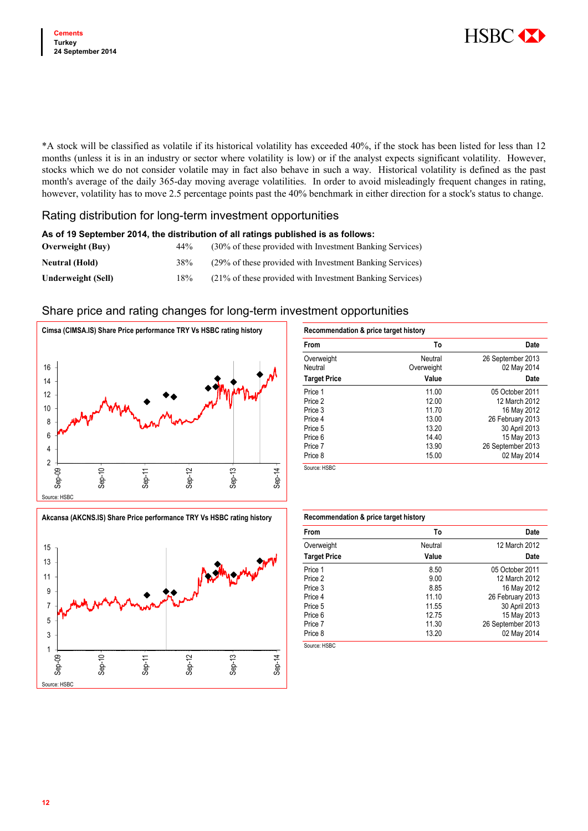

\*A stock will be classified as volatile if its historical volatility has exceeded 40%, if the stock has been listed for less than 12 months (unless it is in an industry or sector where volatility is low) or if the analyst expects significant volatility. However, stocks which we do not consider volatile may in fact also behave in such a way. Historical volatility is defined as the past month's average of the daily 365-day moving average volatilities. In order to avoid misleadingly frequent changes in rating, however, volatility has to move 2.5 percentage points past the 40% benchmark in either direction for a stock's status to change.

### Rating distribution for long-term investment opportunities

| As of 19 September 2014, the distribution of all ratings published is as follows: |     |                                                          |  |  |
|-----------------------------------------------------------------------------------|-----|----------------------------------------------------------|--|--|
| <b>Overweight</b> (Buy)                                                           | 44% | (30% of these provided with Investment Banking Services) |  |  |
| <b>Neutral (Hold)</b>                                                             | 38% | (29% of these provided with Investment Banking Services) |  |  |
| <b>Underweight (Sell)</b>                                                         | 18% | (21% of these provided with Investment Banking Services) |  |  |

### Share price and rating changes for long-term investment opportunities



| From                | To         | <b>Date</b>       |
|---------------------|------------|-------------------|
| Overweight          | Neutral    | 26 September 2013 |
| Neutral             | Overweight | 02 May 2014       |
| <b>Target Price</b> | Value      | Date              |
| Price 1             | 11.00      | 05 October 2011   |
| Price 2             | 12.00      | 12 March 2012     |
| Price 3             | 11.70      | 16 May 2012       |
| Price 4             | 13.00      | 26 February 2013  |
| Price 5             | 13.20      | 30 April 2013     |
| Price 6             | 14.40      | 15 May 2013       |
| Price 7             | 13.90      | 26 September 2013 |
| Price 8             | 15.00      | 02 May 2014       |

15 13 1 million who 11 9 7 5 3 1 Sep-10 Sep-11 Sep-12 Sep-13 Sep-14Sep-09 rce: HSB

Akcansa (AKCNS.IS) Share Price performance TRY Vs HSBC rating history

| Recommendation & price target history |         |                   |  |  |
|---------------------------------------|---------|-------------------|--|--|
| From                                  | To      | <b>Date</b>       |  |  |
| Overweight                            | Neutral | 12 March 2012     |  |  |
| <b>Target Price</b>                   | Value   | Date              |  |  |
| Price 1                               | 8.50    | 05 October 2011   |  |  |
| Price 2                               | 9.00    | 12 March 2012     |  |  |
| Price 3                               | 8.85    | 16 May 2012       |  |  |
| Price 4                               | 11.10   | 26 February 2013  |  |  |
| Price 5                               | 11.55   | 30 April 2013     |  |  |
| Price 6                               | 12.75   | 15 May 2013       |  |  |
| Price 7                               | 11.30   | 26 September 2013 |  |  |
| Price 8                               | 13.20   | 02 May 2014       |  |  |

Source: HSBC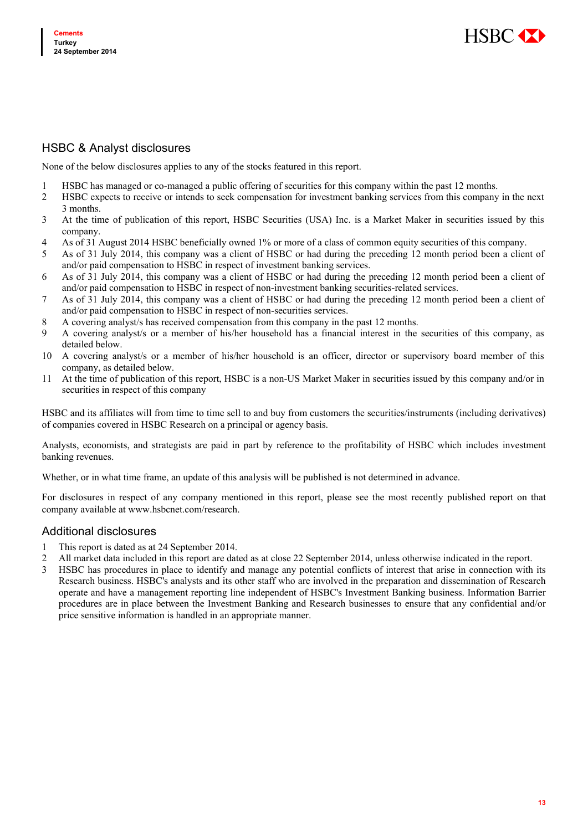

## HSBC & Analyst disclosures

None of the below disclosures applies to any of the stocks featured in this report.

- 1 HSBC has managed or co-managed a public offering of securities for this company within the past 12 months.
- 2 HSBC expects to receive or intends to seek compensation for investment banking services from this company in the next 3 months.
- 3 At the time of publication of this report, HSBC Securities (USA) Inc. is a Market Maker in securities issued by this company.
- 4 As of 31 August 2014 HSBC beneficially owned 1% or more of a class of common equity securities of this company.
- 5 As of 31 July 2014, this company was a client of HSBC or had during the preceding 12 month period been a client of and/or paid compensation to HSBC in respect of investment banking services.
- 6 As of 31 July 2014, this company was a client of HSBC or had during the preceding 12 month period been a client of and/or paid compensation to HSBC in respect of non-investment banking securities-related services.
- 7 As of 31 July 2014, this company was a client of HSBC or had during the preceding 12 month period been a client of and/or paid compensation to HSBC in respect of non-securities services.
- 8 A covering analyst/s has received compensation from this company in the past 12 months.
- 9 A covering analyst/s or a member of his/her household has a financial interest in the securities of this company, as detailed below.
- 10 A covering analyst/s or a member of his/her household is an officer, director or supervisory board member of this company, as detailed below.
- 11 At the time of publication of this report, HSBC is a non-US Market Maker in securities issued by this company and/or in securities in respect of this company

HSBC and its affiliates will from time to time sell to and buy from customers the securities/instruments (including derivatives) of companies covered in HSBC Research on a principal or agency basis.

Analysts, economists, and strategists are paid in part by reference to the profitability of HSBC which includes investment banking revenues.

Whether, or in what time frame, an update of this analysis will be published is not determined in advance.

For disclosures in respect of any company mentioned in this report, please see the most recently published report on that company available at www.hsbcnet.com/research.

### Additional disclosures

- 1 This report is dated as at 24 September 2014.
- 2 All market data included in this report are dated as at close 22 September 2014, unless otherwise indicated in the report.
- 3 HSBC has procedures in place to identify and manage any potential conflicts of interest that arise in connection with its Research business. HSBC's analysts and its other staff who are involved in the preparation and dissemination of Research operate and have a management reporting line independent of HSBC's Investment Banking business. Information Barrier procedures are in place between the Investment Banking and Research businesses to ensure that any confidential and/or price sensitive information is handled in an appropriate manner.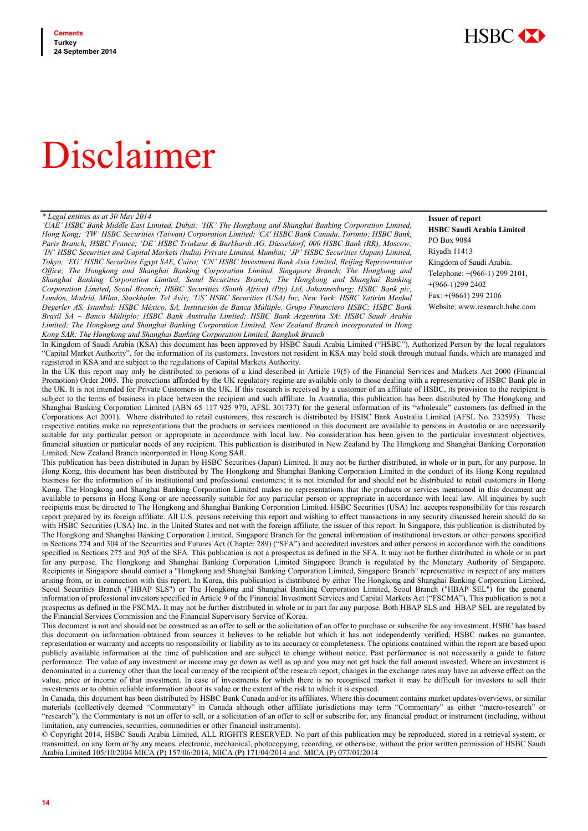

# Disclaimer

### *\* Legal entities as at 30 May 2014*

*'UAE' HSBC Bank Middle East Limited, Dubai; 'HK' The Hongkong and Shanghai Banking Corporation Limited, Hong Kong; 'TW' HSBC Securities (Taiwan) Corporation Limited; 'CA' HSBC Bank Canada, Toronto; HSBC Bank, Paris Branch; HSBC France; 'DE' HSBC Trinkaus & Burkhardt AG, Düsseldorf; 000 HSBC Bank (RR), Moscow; 'IN' HSBC Securities and Capital Markets (India) Private Limited, Mumbai; 'JP' HSBC Securities (Japan) Limited, Tokyo; 'EG' HSBC Securities Egypt SAE, Cairo; 'CN' HSBC Investment Bank Asia Limited, Beijing Representative Office; The Hongkong and Shanghai Banking Corporation Limited, Singapore Branch; The Hongkong and Shanghai Banking Corporation Limited, Seoul Securities Branch; The Hongkong and Shanghai Banking Corporation Limited, Seoul Branch; HSBC Securities (South Africa) (Pty) Ltd, Johannesburg; HSBC Bank plc, London, Madrid, Milan, Stockholm, Tel Aviv; 'US' HSBC Securities (USA) Inc, New York; HSBC Yatirim Menkul Degerler AS, Istanbul; HSBC México, SA, Institución de Banca Múltiple, Grupo Financiero HSBC; HSBC Bank Brasil SA – Banco Múltiplo; HSBC Bank Australia Limited; HSBC Bank Argentina SA; HSBC Saudi Arabia Limited; The Hongkong and Shanghai Banking Corporation Limited, New Zealand Branch incorporated in Hong Kong SAR; The Hongkong and Shanghai Banking Corporation Limited, Bangkok Branch* 

**Issuer of report HSBC Saudi Arabia Limited** PO Box 9084 Riyadh 11413 Kingdom of Saudi Arabia. Telephone: +(966-1) 299 2101, +(966-1)299 2402 Fax: +(9661) 299 2106 Website: www.research.hsbc.com

In Kingdom of Saudi Arabia (KSA) this document has been approved by HSBC Saudi Arabia Limited ("HSBC"), Authorized Person by the local regulators "Capital Market Authority", for the information of its customers. Investors not resident in KSA may hold stock through mutual funds, which are managed and registered in KSA and are subject to the regulations of Capital Markets Authority.

In the UK this report may only be distributed to persons of a kind described in Article 19(5) of the Financial Services and Markets Act 2000 (Financial Promotion) Order 2005. The protections afforded by the UK regulatory regime are available only to those dealing with a representative of HSBC Bank plc in the UK. It is not intended for Private Customers in the UK. If this research is received by a customer of an affiliate of HSBC, its provision to the recipient is subject to the terms of business in place between the recipient and such affiliate. In Australia, this publication has been distributed by The Hongkong and Shanghai Banking Corporation Limited (ABN 65 117 925 970, AFSL 301737) for the general information of its "wholesale" customers (as defined in the Corporations Act 2001). Where distributed to retail customers, this research is distributed by HSBC Bank Australia Limited (AFSL No. 232595). These respective entities make no representations that the products or services mentioned in this document are available to persons in Australia or are necessarily suitable for any particular person or appropriate in accordance with local law. No consideration has been given to the particular investment objectives, financial situation or particular needs of any recipient. This publication is distributed in New Zealand by The Hongkong and Shanghai Banking Corporation Limited, New Zealand Branch incorporated in Hong Kong SAR.

This publication has been distributed in Japan by HSBC Securities (Japan) Limited. It may not be further distributed, in whole or in part, for any purpose. In Hong Kong, this document has been distributed by The Hongkong and Shanghai Banking Corporation Limited in the conduct of its Hong Kong regulated business for the information of its institutional and professional customers; it is not intended for and should not be distributed to retail customers in Hong Kong. The Hongkong and Shanghai Banking Corporation Limited makes no representations that the products or services mentioned in this document are available to persons in Hong Kong or are necessarily suitable for any particular person or appropriate in accordance with local law. All inquiries by such recipients must be directed to The Hongkong and Shanghai Banking Corporation Limited. HSBC Securities (USA) Inc. accepts responsibility for this research report prepared by its foreign affiliate. All U.S. persons receiving this report and wishing to effect transactions in any security discussed herein should do so with HSBC Securities (USA) Inc. in the United States and not with the foreign affiliate, the issuer of this report. In Singapore, this publication is distributed by The Hongkong and Shanghai Banking Corporation Limited, Singapore Branch for the general information of institutional investors or other persons specified in Sections 274 and 304 of the Securities and Futures Act (Chapter 289) ("SFA") and accredited investors and other persons in accordance with the conditions specified in Sections 275 and 305 of the SFA. This publication is not a prospectus as defined in the SFA. It may not be further distributed in whole or in part for any purpose. The Hongkong and Shanghai Banking Corporation Limited Singapore Branch is regulated by the Monetary Authority of Singapore. Recipients in Singapore should contact a "Hongkong and Shanghai Banking Corporation Limited, Singapore Branch" representative in respect of any matters arising from, or in connection with this report. In Korea, this publication is distributed by either The Hongkong and Shanghai Banking Corporation Limited, Seoul Securities Branch ("HBAP SLS") or The Hongkong and Shanghai Banking Corporation Limited, Seoul Branch ("HBAP SEL") for the general information of professional investors specified in Article 9 of the Financial Investment Services and Capital Markets Act ("FSCMA"). This publication is not a prospectus as defined in the FSCMA. It may not be further distributed in whole or in part for any purpose. Both HBAP SLS and HBAP SEL are regulated by the Financial Services Commission and the Financial Supervisory Service of Korea.

This document is not and should not be construed as an offer to sell or the solicitation of an offer to purchase or subscribe for any investment. HSBC has based this document on information obtained from sources it believes to be reliable but which it has not independently verified; HSBC makes no guarantee, representation or warranty and accepts no responsibility or liability as to its accuracy or completeness. The opinions contained within the report are based upon publicly available information at the time of publication and are subject to change without notice. Past performance is not necessarily a guide to future performance. The value of any investment or income may go down as well as up and you may not get back the full amount invested. Where an investment is denominated in a currency other than the local currency of the recipient of the research report, changes in the exchange rates may have an adverse effect on the value, price or income of that investment. In case of investments for which there is no recognised market it may be difficult for investors to sell their investments or to obtain reliable information about its value or the extent of the risk to which it is exposed.

In Canada, this document has been distributed by HSBC Bank Canada and/or its affiliates. Where this document contains market updates/overviews, or similar materials (collectively deemed "Commentary" in Canada although other affiliate jurisdictions may term "Commentary" as either "macro-research" or "research"), the Commentary is not an offer to sell, or a solicitation of an offer to sell or subscribe for, any financial product or instrument (including, without limitation, any currencies, securities, commodities or other financial instruments).

© Copyright 2014, HSBC Saudi Arabia Limited, ALL RIGHTS RESERVED. No part of this publication may be reproduced, stored in a retrieval system, or transmitted, on any form or by any means, electronic, mechanical, photocopying, recording, or otherwise, without the prior written permission of HSBC Saudi Arabia Limited 105/10/2004 MICA (P) 157/06/2014, MICA (P) 171/04/2014 and MICA (P) 077/01/2014